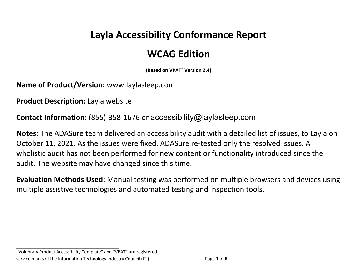# **Layla Accessibility Conformance Report**

## **WCAG Edition**

**(Based on VPAT**® **Version 2.4)**

**Name of Product/Version:** www.laylasleep.com

**Product Description:** Layla website

**Contact Information:** (855)-358-1676 or accessibility@laylasleep.com

**Notes:** The ADASure team delivered an accessibility audit with a detailed list of issues, to Layla on October 11, 2021. As the issues were fixed, ADASure re-tested only the resolved issues. A wholistic audit has not been performed for new content or functionality introduced since the audit. The website may have changed since this time.

**Evaluation Methods Used:** Manual testing was performed on multiple browsers and devices using multiple assistive technologies and automated testing and inspection tools.

**\_\_\_\_\_\_\_\_\_\_\_\_\_\_\_\_\_\_\_\_\_\_\_\_\_\_\_\_\_\_\_\_\_\_**

<sup>&</sup>quot;Voluntary Product Accessibility Template" and "VPAT" are registered service marks of the Information Technology Industry Council (ITI) Page **1** of **6**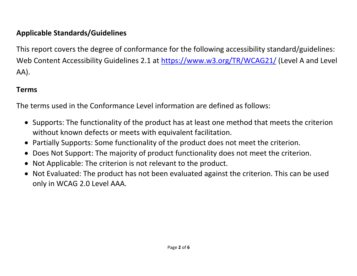### **Applicable Standards/Guidelines**

This report covers the degree of conformance for the following accessibility standard/guidelines: Web Content Accessibility Guidelines 2.1 at https://www.w3.org/TR/WCAG21/ (Level A and Level AA).

### **Terms**

The terms used in the Conformance Level information are defined as follows:

- Supports: The functionality of the product has at least one method that meets the criterion without known defects or meets with equivalent facilitation.
- Partially Supports: Some functionality of the product does not meet the criterion.
- Does Not Support: The majority of product functionality does not meet the criterion.
- Not Applicable: The criterion is not relevant to the product.
- Not Evaluated: The product has not been evaluated against the criterion. This can be used only in WCAG 2.0 Level AAA.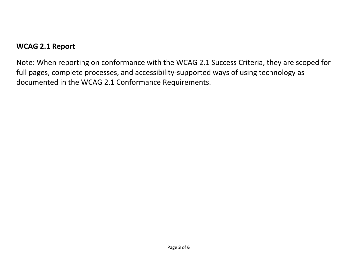#### **WCAG 2.1 Report**

Note: When reporting on conformance with the WCAG 2.1 Success Criteria, they are scoped for full pages, complete processes, and accessibility-supported ways of using technology as documented in the WCAG 2.1 Conformance Requirements.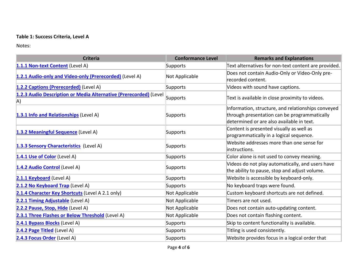#### **Table 1: Success Criteria, Level A**

Notes:

| <b>Criteria</b>                                                                  | <b>Conformance Level</b> | <b>Remarks and Explanations</b>                                                                                                                 |
|----------------------------------------------------------------------------------|--------------------------|-------------------------------------------------------------------------------------------------------------------------------------------------|
| 1.1.1 Non-text Content (Level A)                                                 | Supports                 | Text alternatives for non-text content are provided.                                                                                            |
| 1.2.1 Audio-only and Video-only (Prerecorded) (Level A)                          | Not Applicable           | Does not contain Audio-Only or Video-Only pre-<br>recorded content.                                                                             |
| 1.2.2 Captions (Prerecorded) (Level A)                                           | Supports                 | Videos with sound have captions.                                                                                                                |
| 1.2.3 Audio Description or Media Alternative (Prerecorded) (Level<br>$ A\rangle$ | Supports                 | Text is available in close proximity to videos.                                                                                                 |
| 1.3.1 Info and Relationships (Level A)                                           | Supports                 | Information, structure, and relationships conveyed<br>through presentation can be programmatically<br>determined or are also available in text. |
| 1.3.2 Meaningful Sequence (Level A)                                              | Supports                 | Content is presented visually as well as<br>programmatically in a logical sequence.                                                             |
| 1.3.3 Sensory Characteristics (Level A)                                          | Supports                 | Website addresses more than one sense for<br>instructions.                                                                                      |
| 1.4.1 Use of Color (Level A)                                                     | Supports                 | Color alone is not used to convey meaning.                                                                                                      |
| 1.4.2 Audio Control (Level A)                                                    | Supports                 | Videos do not play automatically, and users have<br>the ability to pause, stop and adjust volume.                                               |
| 2.1.1 Keyboard (Level A)                                                         | Supports                 | Website is accessible by keyboard-only.                                                                                                         |
| 2.1.2 No Keyboard Trap (Level A)                                                 | Supports                 | No keyboard traps were found.                                                                                                                   |
| 2.1.4 Character Key Shortcuts (Level A 2.1 only)                                 | Not Applicable           | Custom keyboard shortcuts are not defined.                                                                                                      |
| 2.2.1 Timing Adjustable (Level A)                                                | Not Applicable           | Timers are not used.                                                                                                                            |
| 2.2.2 Pause, Stop, Hide (Level A)                                                | Not Applicable           | Does not contain auto-updating content.                                                                                                         |
| 2.3.1 Three Flashes or Below Threshold (Level A)                                 | Not Applicable           | Does not contain flashing content.                                                                                                              |
| 2.4.1 Bypass Blocks (Level A)                                                    | Supports                 | Skip to content functionality is available.                                                                                                     |
| 2.4.2 Page Titled (Level A)                                                      | Supports                 | Titling is used consistently.                                                                                                                   |
| 2.4.3 Focus Order (Level A)                                                      | Supports                 | Website provides focus in a logical order that                                                                                                  |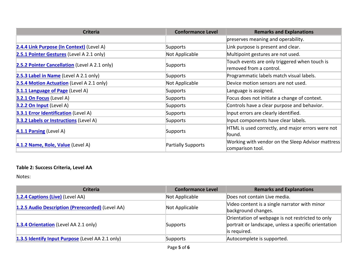| <b>Criteria</b>                               | <b>Conformance Level</b>  | <b>Remarks and Explanations</b>                                          |
|-----------------------------------------------|---------------------------|--------------------------------------------------------------------------|
|                                               |                           | preserves meaning and operability.                                       |
| 2.4.4 Link Purpose (In Context) (Level A)     | Supports                  | Link purpose is present and clear.                                       |
| 2.5.1 Pointer Gestures (Level A 2.1 only)     | Not Applicable            | Multipoint gestures are not used.                                        |
| 2.5.2 Pointer Cancellation (Level A 2.1 only) | Supports                  | Touch events are only triggered when touch is<br>removed from a control. |
| 2.5.3 Label in Name (Level A 2.1 only)        | Supports                  | Programmatic labels match visual labels.                                 |
| 2.5.4 Motion Actuation (Level A 2.1 only)     | Not Applicable            | Device motion sensors are not used.                                      |
| 3.1.1 Language of Page (Level A)              | Supports                  | Language is assigned.                                                    |
| $3.2.1$ On Focus (Level A)                    | Supports                  | Focus does not initiate a change of context.                             |
| $3.2.2$ On Input (Level A)                    | Supports                  | Controls have a clear purpose and behavior.                              |
| <b>3.3.1 Error Identification (Level A)</b>   | Supports                  | Input errors are clearly identified.                                     |
| 3.3.2 Labels or Instructions (Level A)        | Supports                  | Input components have clear labels.                                      |
| 4.1.1 Parsing (Level A)                       | Supports                  | HTML is used correctly, and major errors were not<br>found.              |
| 4.1.2 Name, Role, Value (Level A)             | <b>Partially Supports</b> | Working with vendor on the Sleep Advisor mattress<br>comparison tool.    |

#### **Table 2: Success Criteria, Level AA**

Notes:

| <b>Criteria</b>                                  | <b>Conformance Level</b> | <b>Remarks and Explanations</b>                                                                                          |
|--------------------------------------------------|--------------------------|--------------------------------------------------------------------------------------------------------------------------|
| 1.2.4 Captions (Live) (Level AA)                 | Not Applicable           | Does not contain Live media.                                                                                             |
| 1.2.5 Audio Description (Prerecorded) (Level AA) | Not Applicable           | Video content is a single narrator with minor<br>background changes.                                                     |
| 1.3.4 Orientation (Level AA 2.1 only)            | Supports                 | Orientation of webpage is not restricted to only<br>portrait or landscape, unless a specific orientation<br>is required. |
| 1.3.5 Identify Input Purpose (Level AA 2.1 only) | Supports                 | Autocomplete is supported.                                                                                               |